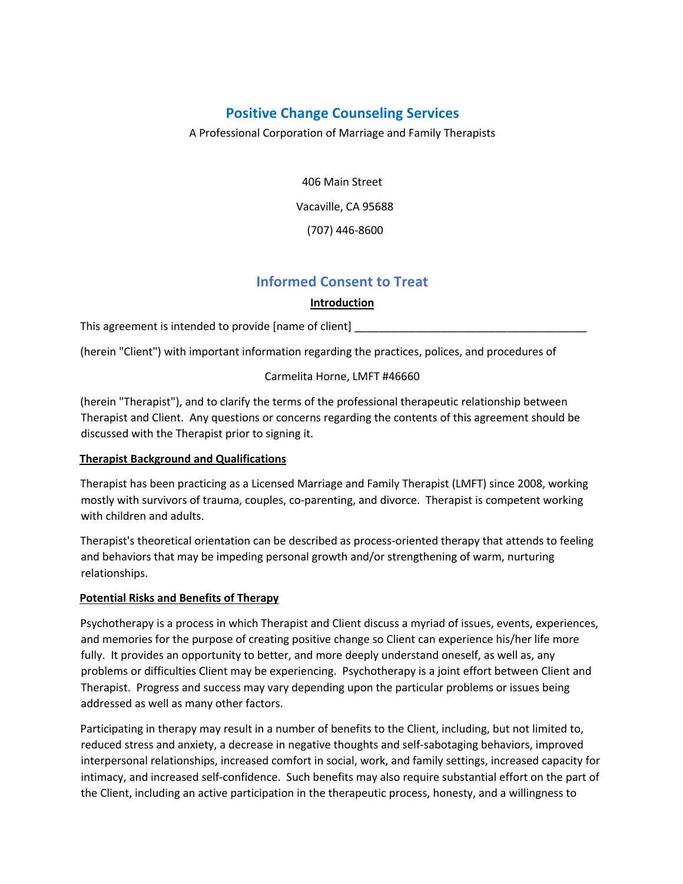# **Positive Change Counseling Services**

A Professional Corporation of Marriage and Family Therapists

406 Main Street Vacaville, CA 95688 (707) 446-8600

# **Informed Consent to Treat**

# **Introduction**

This agreement is intended to provide [name of client]

(herein "Client") with important information regarding the practices, polices, and procedures of

# Carmelita Horne, LMFT #46660

(herein "Therapist"), and to clarify the terms of the professional therapeutic relationship between Therapist and Client. Any questions or concerns regarding the contents of this agreement should be discussed with the Therapist prior to signing it.

# **Therapist Background and Qualifications**

Therapist has been practicing as a Licensed Marriage and Family Therapist (LMFT) since 2008, working mostly with survivors of trauma, couples, co-parenting, and divorce. Therapist is competent working with children and adults.

Therapist's theoretical orientation can be described as process-oriented therapy that attends to feeling and behaviors that may be impeding personal growth and/or strengthening of warm, nurturing relationships.

#### **Potential Risks and Benefits of Therapy**

Psychotherapy is a process in which Therapist and Client discuss a myriad of issues, events, experiences, and memories for the purpose of creating positive change so Client can experience his/her life more fully. It provides an opportunity to better, and more deeply understand oneself, as well as, any problems or difficulties Client may be experiencing. Psychotherapy is a joint effort between Client and Therapist. Progress and success may vary depending upon the particular problems or issues being addressed as well as many other factors.

Participating in therapy may result in a number of benefits to the Client, including, but not limited to, reduced stress and anxiety, a decrease in negative thoughts and self-sabotaging behaviors, improved interpersonal relationships, increased comfort in social, work, and family settings, increased capacity for intimacy, and increased self-confidence. Such benefits may also require substantial effort on the part of the Client, including an active participation in the therapeutic process, honesty, and a willingness to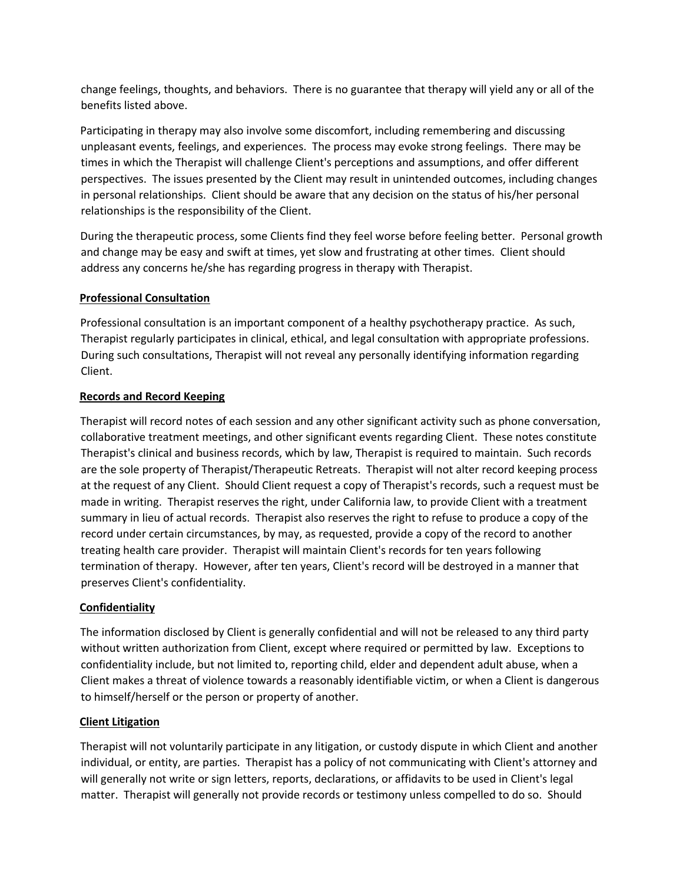change feelings, thoughts, and behaviors. There is no guarantee that therapy will yield any or all of the benefits listed above.

Participating in therapy may also involve some discomfort, including remembering and discussing unpleasant events, feelings, and experiences. The process may evoke strong feelings. There may be times in which the Therapist will challenge Client's perceptions and assumptions, and offer different perspectives. The issues presented by the Client may result in unintended outcomes, including changes in personal relationships. Client should be aware that any decision on the status of his/her personal relationships is the responsibility of the Client.

During the therapeutic process, some Clients find they feel worse before feeling better. Personal growth and change may be easy and swift at times, yet slow and frustrating at other times. Client should address any concerns he/she has regarding progress in therapy with Therapist.

### **Professional Consultation**

Professional consultation is an important component of a healthy psychotherapy practice. As such, Therapist regularly participates in clinical, ethical, and legal consultation with appropriate professions. During such consultations, Therapist will not reveal any personally identifying information regarding Client.

### **Records and Record Keeping**

Therapist will record notes of each session and any other significant activity such as phone conversation, collaborative treatment meetings, and other significant events regarding Client. These notes constitute Therapist's clinical and business records, which by law, Therapist is required to maintain. Such records are the sole property of Therapist/Therapeutic Retreats. Therapist will not alter record keeping process at the request of any Client. Should Client request a copy of Therapist's records, such a request must be made in writing. Therapist reserves the right, under California law, to provide Client with a treatment summary in lieu of actual records. Therapist also reserves the right to refuse to produce a copy of the record under certain circumstances, by may, as requested, provide a copy of the record to another treating health care provider. Therapist will maintain Client's records for ten years following termination of therapy. However, after ten years, Client's record will be destroyed in a manner that preserves Client's confidentiality.

# **Confidentiality**

The information disclosed by Client is generally confidential and will not be released to any third party without written authorization from Client, except where required or permitted by law. Exceptions to confidentiality include, but not limited to, reporting child, elder and dependent adult abuse, when a Client makes a threat of violence towards a reasonably identifiable victim, or when a Client is dangerous to himself/herself or the person or property of another.

# **Client Litigation**

Therapist will not voluntarily participate in any litigation, or custody dispute in which Client and another individual, or entity, are parties. Therapist has a policy of not communicating with Client's attorney and will generally not write or sign letters, reports, declarations, or affidavits to be used in Client's legal matter. Therapist will generally not provide records or testimony unless compelled to do so. Should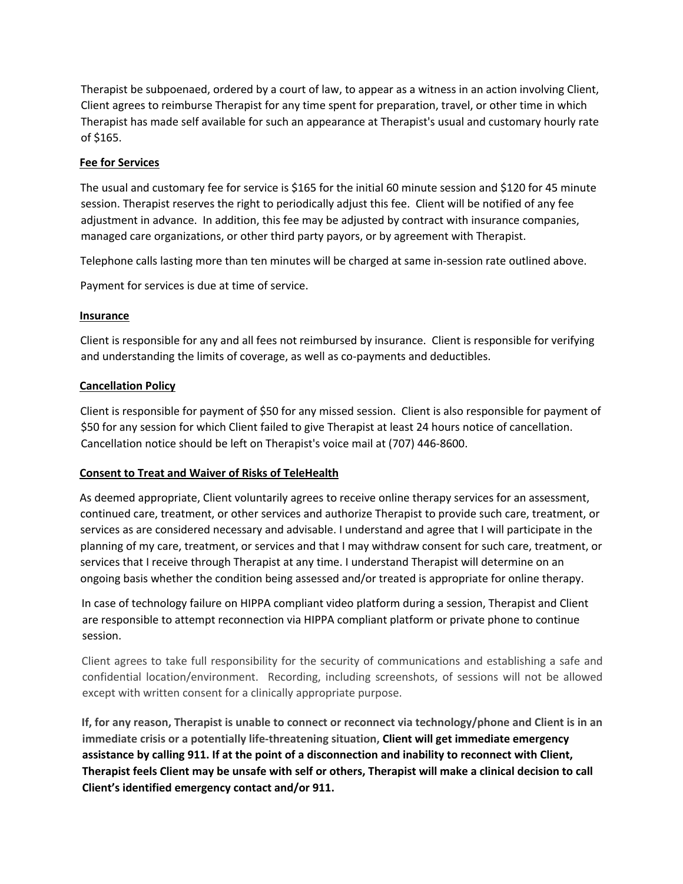Therapist be subpoenaed, ordered by a court of law, to appear as a witness in an action involving Client, Client agrees to reimburse Therapist for any time spent for preparation, travel, or other time in which Therapist has made self available for such an appearance at Therapist's usual and customary hourly rate of \$165.

## **Fee for Services**

The usual and customary fee for service is \$165 for the initial 60 minute session and \$120 for 45 minute session. Therapist reserves the right to periodically adjust this fee. Client will be notified of any fee adjustment in advance. In addition, this fee may be adjusted by contract with insurance companies, managed care organizations, or other third party payors, or by agreement with Therapist.

Telephone calls lasting more than ten minutes will be charged at same in-session rate outlined above.

Payment for services is due at time of service.

#### **Insurance**

Client is responsible for any and all fees not reimbursed by insurance. Client is responsible for verifying and understanding the limits of coverage, as well as co-payments and deductibles.

### **Cancellation Policy**

Client is responsible for payment of \$50 for any missed session. Client is also responsible for payment of \$50 for any session for which Client failed to give Therapist at least 24 hours notice of cancellation. Cancellation notice should be left on Therapist's voice mail at (707) 446-8600.

#### **Consent to Treat and Waiver of Risks of TeleHealth**

As deemed appropriate, Client voluntarily agrees to receive online therapy services for an assessment, continued care, treatment, or other services and authorize Therapist to provide such care, treatment, or services as are considered necessary and advisable. I understand and agree that I will participate in the planning of my care, treatment, or services and that I may withdraw consent for such care, treatment, or services that I receive through Therapist at any time. I understand Therapist will determine on an ongoing basis whether the condition being assessed and/or treated is appropriate for online therapy.

In case of technology failure on HIPPA compliant video platform during a session, Therapist and Client are responsible to attempt reconnection via HIPPA compliant platform or private phone to continue session.

Client agrees to take full responsibility for the security of communications and establishing a safe and confidential location/environment. Recording, including screenshots, of sessions will not be allowed except with written consent for a clinically appropriate purpose.

**If, for any reason, Therapist is unable to connect or reconnect via technology/phone and Client is in an immediate crisis or a potentially life-threatening situation, Client will get immediate emergency assistance by calling 911. If at the point of a disconnection and inability to reconnect with Client, Therapist feels Client may be unsafe with self or others, Therapist will make a clinical decision to call Client's identified emergency contact and/or 911.**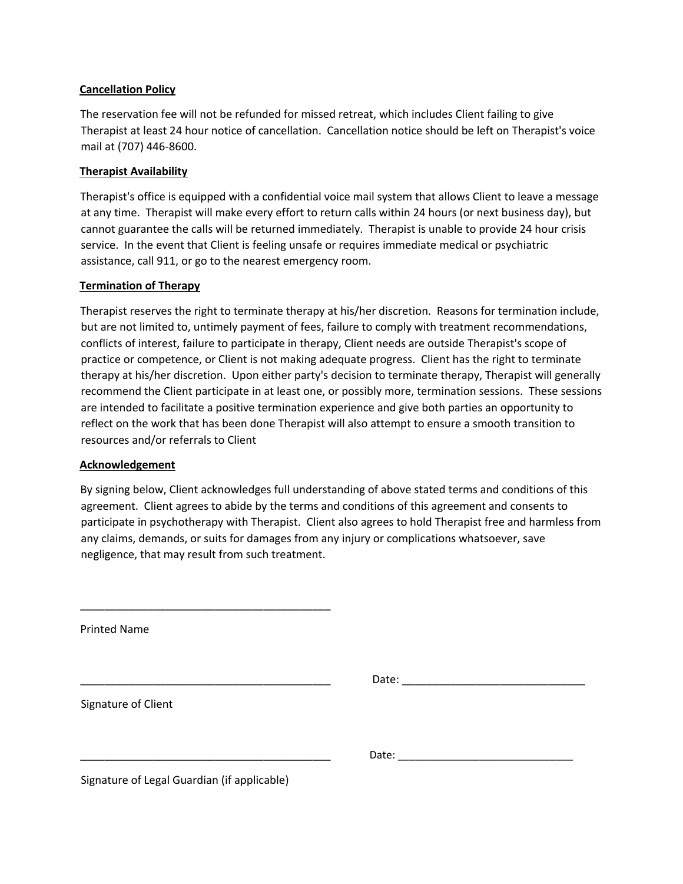#### **Cancellation Policy**

The reservation fee will not be refunded for missed retreat, which includes Client failing to give Therapist at least 24 hour notice of cancellation. Cancellation notice should be left on Therapist's voice mail at (707) 446-8600.

## **Therapist Availability**

Therapist's office is equipped with a confidential voice mail system that allows Client to leave a message at any time. Therapist will make every effort to return calls within 24 hours (or next business day), but cannot guarantee the calls will be returned immediately. Therapist is unable to provide 24 hour crisis service. In the event that Client is feeling unsafe or requires immediate medical or psychiatric assistance, call 911, or go to the nearest emergency room.

#### **Termination of Therapy**

Therapist reserves the right to terminate therapy at his/her discretion. Reasons for termination include, but are not limited to, untimely payment of fees, failure to comply with treatment recommendations, conflicts of interest, failure to participate in therapy, Client needs are outside Therapist's scope of practice or competence, or Client is not making adequate progress. Client has the right to terminate therapy at his/her discretion. Upon either party's decision to terminate therapy, Therapist will generally recommend the Client participate in at least one, or possibly more, termination sessions. These sessions are intended to facilitate a positive termination experience and give both parties an opportunity to reflect on the work that has been done Therapist will also attempt to ensure a smooth transition to resources and/or referrals to Client

#### **Acknowledgement**

By signing below, Client acknowledges full understanding of above stated terms and conditions of this agreement. Client agrees to abide by the terms and conditions of this agreement and consents to participate in psychotherapy with Therapist. Client also agrees to hold Therapist free and harmless from any claims, demands, or suits for damages from any injury or complications whatsoever, save negligence, that may result from such treatment.

Printed Name

\_\_\_\_\_\_\_\_\_\_\_\_\_\_\_\_\_\_\_\_\_\_\_\_\_\_\_\_\_\_\_\_\_\_\_\_\_\_\_\_\_ Date: \_\_\_\_\_\_\_\_\_\_\_\_\_\_\_\_\_\_\_\_\_\_\_\_\_\_\_\_\_\_

Signature of Client

\_\_\_\_\_\_\_\_\_\_\_\_\_\_\_\_\_\_\_\_\_\_\_\_\_\_\_\_\_\_\_\_\_\_\_\_\_\_\_\_\_ Date: \_\_\_\_\_\_\_\_\_\_\_\_\_\_\_\_\_\_\_\_\_\_\_\_\_\_\_\_\_\_

Signature of Legal Guardian (if applicable)

\_\_\_\_\_\_\_\_\_\_\_\_\_\_\_\_\_\_\_\_\_\_\_\_\_\_\_\_\_\_\_\_\_\_\_\_\_\_\_\_\_